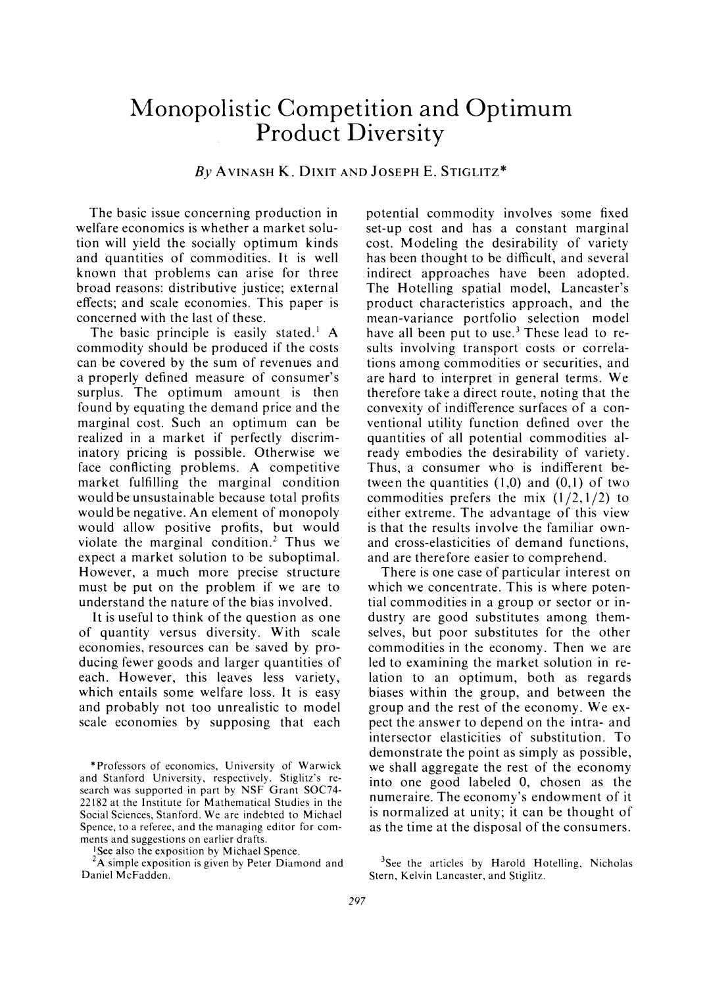# **Monopolistic Competition and Optimum Product Diversity**

# **By AVINASH K. DIXIT AND JOSEPH E. STIGLITZ\***

**The basic issue concerning production in welfare economics is whether a market solution will yield the socially optimum kinds and quantities of commodities. It is well known that problems can arise for three broad reasons: distributive justice; external effects; and scale economies. This paper is concerned with the last of these.** 

**The basic principle is easily stated.' A commodity should be produced if the costs can be covered by the sum of revenues and a properly defined measure of consumer's surplus. The optimum amount is then found by equating the demand price and the marginal cost. Such an optimum can be realized in a market if perfectly discriminatory pricing is possible. Otherwise we face conflicting problems. A competitive market fulfilling the marginal condition would be unsustainable because total profits would be negative. An element of monopoly would allow positive profits, but would violate the marginal condition.2 Thus we expect a market solution to be suboptimal. However, a much more precise structure must be put on the problem if we are to understand the nature of the bias involved.** 

**It is useful to think of the question as one of quantity versus diversity. With scale economies, resources can be saved by producing fewer goods and larger quantities of each. However, this leaves less variety, which entails some welfare loss. It is easy and probably not too unrealistic to model scale economies by supposing that each** 

**2A simple exposition is given by Peter Diamond and Daniel McFadden.** 

**potential commodity involves some fixed set-up cost and has a constant marginal cost. Modeling the desirability of variety has been thought to be difficult, and several indirect approaches have been adopted. The Hotelling spatial model, Lancaster's product characteristics approach, and the mean-variance portfolio selection model have all been put to use.3 These lead to results involving transport costs or correlations among commodities or securities, and are hard to interpret in general terms. We therefore take a direct route, noting that the convexity of indifference surfaces of a conventional utility function defined over the quantities of all potential commodities already embodies the desirability of variety. Thus, a consumer who is indifferent between the quantities (1,0) and (0,1) of two commodities prefers the mix (1/2,1/2) to either extreme. The advantage of this view is that the results involve the familiar ownand cross-elasticities of demand functions, and are therefore easier to comprehend.** 

**There is one case of particular interest on which we concentrate. This is where potential commodities in a group or sector or industry are good substitutes among themselves, but poor substitutes for the other commodities in the economy. Then we are led to examining the market solution in relation to an optimum, both as regards biases within the group, and between the group and the rest of the economy. We expect the answer to depend on the intra- and intersector elasticities of substitution. To demonstrate the point as simply as possible, we shall aggregate the rest of the economy into one good labeled 0, chosen as the numeraire. The economy's endowment of it is normalized at unity; it can be thought of as the time at the disposal of the consumers.** 

**<sup>\*</sup>Professors of economics, University of Warwick and Stanford University, respectively. Stiglitz's research was supported in part by NSF Grant SOC74- 22182 at the Institute for Mathematical Studies in the Social Sciences, Stanford. We are indebted to Michael Spence, to a referee, and the managing editor for comments and suggestions on earlier drafts.** 

**I See also the exposition by Michael Spence.** 

**<sup>3</sup>See the articles by Harold Hotelling, Nicholas Stern, Kelvin Lancaster, and Stiglitz.**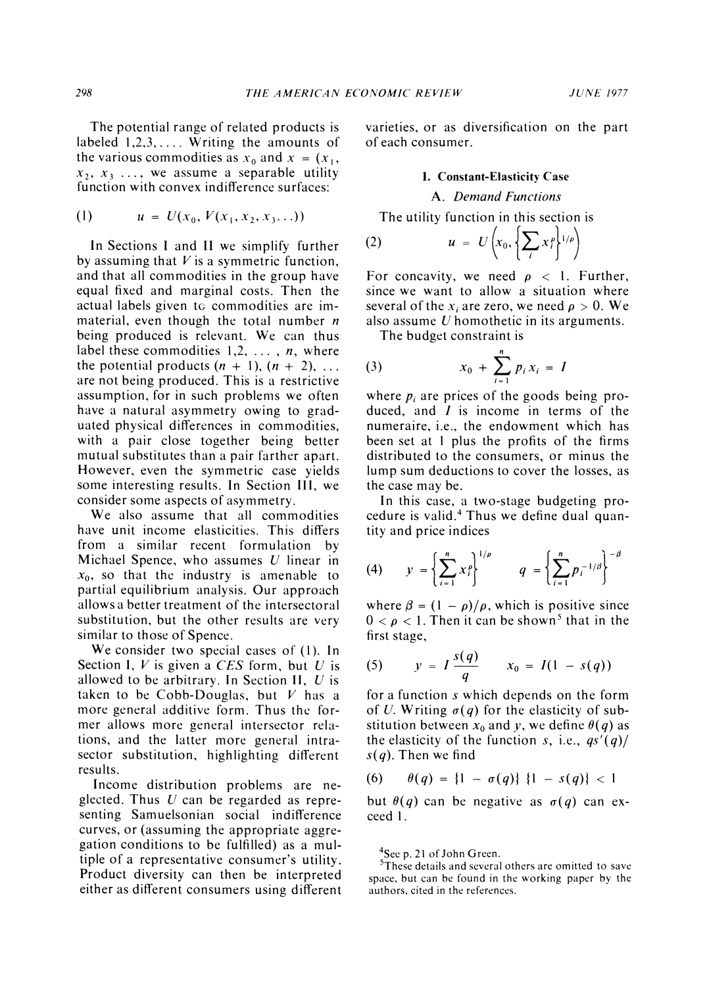**The potential range of related products is labeled 1,2,3,.... Writing the amounts of**  the various commodities as  $x_0$  and  $x = (x_1,$  $x_2, x_3, \ldots$ , we assume a separable utility **function with convex indifference surfaces:** 

(1) 
$$
u = U(x_0, V(x_1, x_2, x_3...))
$$

**In Sections I and II we simplify further by assuming that V is a symmetric function, and that all commodities in the group have equal fixed and marginal costs. Then the actual labels given to commodities are immaterial, even though the total number n being produced is relevant. We can thus label these commodities 1,2, ..., n, where the potential products**  $(n + 1)$ **,**  $(n + 2)$ **, ... are not being produced. This is a restrictive assumption, for in such problems we often have a natural asymmetry owing to graduated physical differences in commodities, with a pair close together being better mutual substitutes than a pair farther apart. However, even the symmetric case yields some interesting results. In Section III, we consider some aspects of asymmetry.** 

**We also assume that all commodities have unit income elasticities. This differs from a similar recent formulation by Michael Spence, who assumes U linear in xo, so that the industry is amenable to partial equilibrium analysis. Our approach allows a better treatment of the intersectoral substitution, but the other results are very similar to those of Spence.** 

**We consider two special cases of (1). In Section I, V is given a CES form, but U is allowed to be arbitrary. In Section II, U is taken to be Cobb-Douglas, but V has a more general additive form. Thus the former allows more general intersector relations, and the latter more general intrasector substitution, highlighting different results.** 

**Income distribution problems are neglected. Thus U can be regarded as representing Samuelsonian social indifference curves, or (assuming the appropriate aggregation conditions to be fulfilled) as a multiple of a representative consumer's utility. Product diversity can then be interpreted either as different consumers using different**  **varieties, or as diversification on the part of each consumer.** 

#### **1. Constant-Elasticity Case**

#### **A. Demand Functions**

**The utility function in this section is** 

$$
(2) \hspace{1cm} u = U\left(x_0, \left\{\sum_i x_i^{\rho}\right\}^{1/\rho}\right)
$$

For concavity, we need  $\rho < 1$ . Further, **since we want to allow a situation where several of the x<sub>i</sub> are zero, we need**  $\rho > 0$ **. We also assume U homothetic in its arguments.** 

**The budget constraint is** 

(3) 
$$
x_0 + \sum_{i=1}^n p_i x_i = I
$$

where  $p_i$  are prices of the goods being pro**duced, and I is income in terms of the numeraire, i.e., the endowment which has been set at I plus the profits of the firms distributed to the consumers, or minus the lump sum deductions to cover the losses, as the case may be.** 

**In this case, a two-stage budgeting procedure is valid.4 Thus we define dual quantity and price indices** 

(4) 
$$
y = \left\{ \sum_{i=1}^{n} x_i^p \right\}^{1/p}
$$
  $q = \left\{ \sum_{i=1}^{n} p_i^{-1/\beta} \right\}^{-\beta}$ 

where  $\beta = (1 - \rho)/\rho$ , which is positive since  $0 < \rho < 1$ . Then it can be shown<sup>5</sup> that in the **first stage,** 

(5) 
$$
y = I \frac{s(q)}{q}
$$
  $x_0 = I(1 - s(q))$ 

**for a function s which depends on the form**  of U. Writing  $\sigma(q)$  for the elasticity of substitution between  $x_0$  and y, we define  $\theta(q)$  as the elasticity of the function s, i.e.,  $qs'(q)$ **s(q). Then we find** 

(6) 
$$
\theta(q) = \{1 - \sigma(q)\}\{1 - s(q)\} < 1
$$

but  $\theta(q)$  can be negative as  $\sigma(q)$  can ex**ceed 1.** 

**4Sec p. 21 of John Green.** 

**5These details and several others are omitted to save space, but can be found in the working paper by the authors, cited in the references.**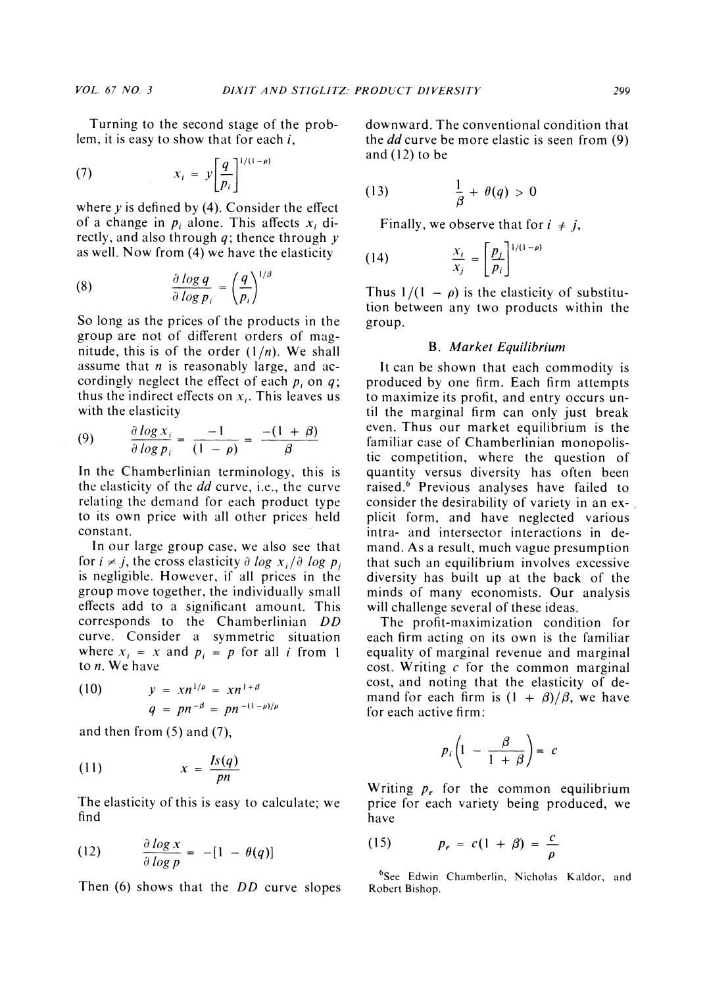**Turning to the second stage of the problem, it is easy to show that for each i,** 

(7) 
$$
x_i = y \left[ \frac{q}{p_i} \right]^{1/(1-\rho)}
$$

**where y is defined by (4). Consider the effect**  of a change in  $p_i$  alone. This affects  $x_i$  di**rectly, and also through q; thence through y as well. Now from (4) we have the elasticity** 

(8) 
$$
\frac{\partial \log q}{\partial \log p_i} = \left(\frac{q}{p_i}\right)^{1/i}
$$

**So long as the prices of the products in the group are not of different orders of magnitude, this is of the order (I/n). We shall assume that n is reasonably large, and ac**cordingly neglect the effect of each  $p_i$  on  $q$ ; thus the indirect effects on  $x_i$ . This leaves us **with the elasticity** 

(9) 
$$
\frac{\partial \log x_i}{\partial \log p_i} = \frac{-1}{(1-\rho)} = \frac{-(1+\beta)}{\beta}
$$

**In the Chamberlinian terminology, this is the elasticity of the dd curve, i.e., the curve relating the demand for each product type to its own price with all other prices held constant.** 

**In our large group case, we also see that**  for  $i \neq j$ , the cross elasticity  $\partial \log x_i / \partial \log p_i$ **is negligible. However, if all prices in the group move together, the individually small effects add to a significant amount. This corresponds to the Chamberlinian DD curve. Consider a symmetric situation**  where  $x_i = x$  and  $p_i = p$  for all *i* from 1 **to n. We have** 

(10) 
$$
y = xn^{1/\rho} = xn^{1+\beta} q = pn^{-\beta} = pn^{-(1-\rho)/\rho}
$$

**and then from (5) and (7),** 

$$
(11) \t\t x = \frac{Is(q)}{pn}
$$

**The elasticity of this is easy to calculate; we find** 

$$
(12) \qquad \frac{\partial \log x}{\partial \log p} = -[1 - \theta(q)]
$$

**Then (6) shows that the DD curve slopes** 

**downward. The conventional condition that the dd curve be more elastic is seen from (9) and (12) to be** 

(13) 
$$
\frac{1}{\beta} + \theta(q) > 0
$$

**Finally, we observe that for**  $i \neq j$ **,** 

(14) 
$$
\frac{x_i}{x_j} = \left[\frac{p_j}{p_i}\right]^{1/(1-\rho)}
$$

Thus  $1/(1 - \rho)$  is the elasticity of substitu**tion between any two products within the group.** 

#### **B. Market Equilibrium**

**It can be shown that each commodity is produced by one firm. Each firm attempts to maximize its profit, and entry occurs until the marginal firm can only just break even. Thus our market equilibrium is the familiar case of Chamberlinian monopolistic competition, where the question of quantity versus diversity has often been raised.6 Previous analyses have failed to consider the desirability of variety in an explicit form, and have neglected various intra- and intersector interactions in demand. As a result, much vague presumption that such an equilibrium involves excessive diversity has built up at the back of the minds of many economists. Our analysis will challenge several of these ideas.** 

**The profit-maximization condition for each firm acting on its own is the familiar equality of marginal revenue and marginal cost. Writing c for the common marginal cost, and noting that the elasticity of de**mand for each firm is  $(1 + \beta)/\beta$ , we have **for each active firm:** 

$$
p_i\left(1 - \frac{\beta}{1 + \beta}\right) = c
$$

**Writing Pe for the common equilibrium price for each variety being produced, we have** 

$$
(15) \hspace{1cm} p_e = c(1+\beta) = \frac{c}{\rho}
$$

**6See Edwin Chamberlin, Nicholas Kaldor, and Robert Bishop.**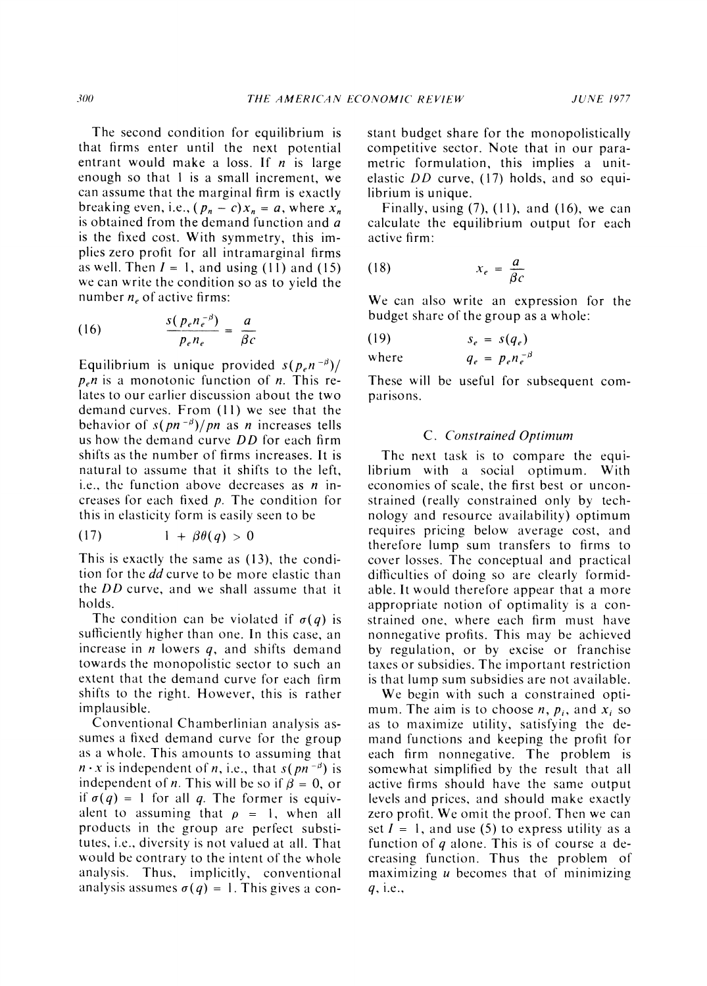**The second condition for equilibrium is that firms enter until the next potential entrant would make a loss. If n is large enough so that I is a small increment, we can assume that the marginal firm is exactly breaking even, i.e.,**  $(p_n - c)x_n = a$ **, where**  $x_n$ **is obtained from the demand function and a is the fixed cost. With symmetry, this implies zero profit for all intramarginal firms**  as well. Then  $I = 1$ , and using (11) and (15) **we can write the condition so as to yield the**  number  $n_e$  of active firms:

(16) 
$$
\frac{s(p_e n_e^{-\beta})}{p_e n_e} = \frac{a}{\beta c}
$$

Equilibrium is unique provided  $s(p_e n^{-\beta})/$  $p_e n$  is a monotonic function of *n*. This re**lates to our carlier discussion about the two demand curves. From (11) we see that the behavior of s(pn<sup>-** $\beta$ **</sup>)/pn as n increases tells us how the demand curve DD for each firm shifts as the number of firms increases. It is natural to assume that it shifts to the left, i.e., the function above decreases as n increases for each fixed p. The condition for this in elasticity form is easily seen to be** 

$$
(17) \qquad \qquad 1 + \beta \theta(q) > 0
$$

**This is exactly the same as (13), the condition for the dd curve to be more elastic than the DD curve, and we shall assume that it holds.** 

The condition can be violated if  $\sigma(q)$  is **sufficiently higher than one. In this case, an increase in n lowers q, and shifts demand towards the monopolistic sector to such an extent that the demand curve for each firm shifts to the right. However, this is rather implausible.** 

**Conventional Chamberlinian analysis assumes a fixed demand curve for the group as a whole. This amounts to assuming that**   $n \cdot x$  is independent of *n*, i.e., that  $s(pn^{-\beta})$  is independent of *n*. This will be so if  $\beta = 0$ , or if  $\sigma(q) = 1$  for all q. The former is equivalent to assuming that  $\rho = 1$ , when all **products in the group are perfect substitutes, i.e., diversity is not valued at all. That would be contrary to the intent of the whole analysis. Thus, implicitly, conventional**  analysis assumes  $\sigma(q) = 1$ . This gives a con**stant budget share for the monopolistically competitive sector. Note that in our parametric formulation, this implies a unitelastic DD curve, (17) holds, and so equilibrium is unique.** 

**Finally, using (7), (1 1), and (16), we can calculate the equilibrium output for each active firm:** 

$$
(18) \t\t x_e = \frac{a}{\beta c}
$$

**We can also write an expression for the budget share of the group as a whole:** 

$$
(19) \t s_e = s(q_e)
$$

where  $q_e = p_e n_e^{-\beta}$ 

**These will be useful for subsequent comparisons.** 

#### **C. Constrained Optimum**

**The next task is to compare the equilibrium with a social optimum. With economies of scale, the first best or unconstrained (really constrained only by technology and resource availability) optimum requires pricing below average cost, and therefore lump sum transfers to firms to cover losses. The conceptual and practical difficulties of doing so are clearly formidable. It would therefore appear that a more appropriate notion of optimality is a constrained one, where each firm must have nonnegative profits. This may be achieved by regulation, or by excise or franchise taxes or subsidies. The important restriction is that lump sum subsidies are not available.** 

**We begin with such a constrained opti**mum. The aim is to choose  $n$ ,  $p_i$ , and  $x_i$  so **as to maximize utility, satisfying the demand functions and keeping the profit for each firm nonnegative. The problem is somewhat simplified by the result that all active firms should have the same output levels and prices, and should make exactly zero profit. We omit the proof. Then we can**  set  $I = 1$ , and use (5) to express utility as a **function of q alone. This is of course a decreasing function. Thus the problem of maximizing u becomes that of minimizing q, i.e.,**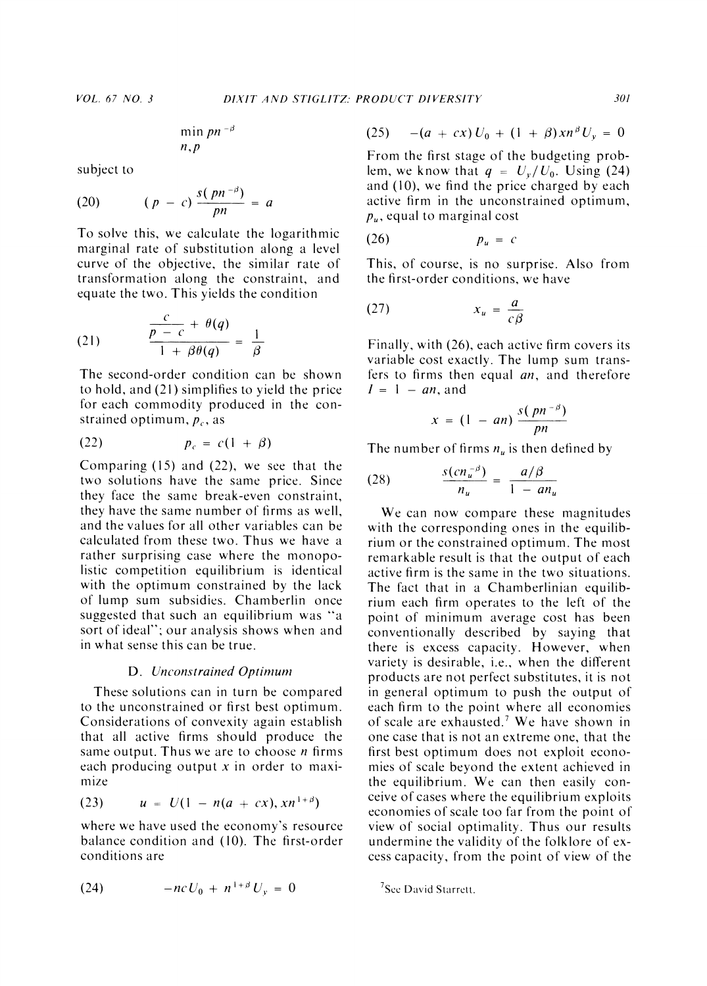$$
\min_{n,p} p^{n-\beta}
$$

**subject to** 

(20) 
$$
(p - c) \frac{s(pn^{-\beta})}{pn} = a
$$

**To solve this, we calculate the logarithmic marginal rate of substitution along a level curve of the objective, the similar rate of transformation along the constraint, and equate the two. This yields the condition** 

(21) 
$$
\frac{\frac{c}{p-c} + \theta(q)}{1 + \beta \theta(q)} = \frac{1}{\beta}
$$

**The second-order condition can be shown to hold, and (21) simplifies to yield the price for each commodity produced in the con**strained optimum,  $p_c$ , as

$$
(22) \hspace{1cm} p_c = c(1+\beta)
$$

**Comparing (15) and (22), we see that the two solutions have the same price. Since they face the same break-even constraint, they have the same number of firms as well, and the values for all other variables can be calculated from these two. Thus we have a rather surprising case where the monopolistic competition equilibrium is identical with the optimum constrained by the lack of lump sum subsidies. Chamberlin once suggested that such an equilibrium was "a sort of ideal"; our analysis shows when and in what sense this can be true.** 

#### **D.** Unconstrained Optimum

**These solutions can in turn be compared to the unconstrained or first best optimum. Considerations of convexity again establish that all active firms should produce the same output. Thus we are to choose n firms each producing output x in order to maximize** 

(23) 
$$
u = U(1 - n(a + cx), xn^{1+\beta})
$$

**where we have used the economy's resource balance condition and (10). The first-order conditions are** 

(24) 
$$
-ncU_0 + n^{1+\beta}U_y = 0
$$

$$
(25) \t - (a + cx) U_0 + (1 + \beta) x n^{\beta} U_y = 0
$$

**From the first stage of the budgeting prob**lem, we know that  $q = U_v/U_0$ . Using (24) **and (10), we find the price charged by each active firm in the unconstrained optimum,**   $p_u$ , equal to marginal cost

$$
(26) \t\t p_u = c
$$

**This, of course, is no surprise. Also from the first-order conditions, we have** 

$$
(27) \t\t x_u = \frac{a}{c\beta}
$$

**Finally, with (26), each active firm covers its variable cost exactly. The lump sum transfers to firms then equal an, and therefore**   $I = 1 - an$ , and

$$
x = (1 - an) \frac{s(pn^{-\beta})}{pn}
$$

The number of firms  $n<sub>u</sub>$  is then defined by

$$
(28) \qquad \qquad \frac{s(cn_u^{-\beta})}{n_u} = \frac{a/\beta}{1 - an_u}
$$

**We can now compare these magnitudes with the corresponding ones in the equilibrium or the constrained optimum. The most remarkable result is that the output of each active firm is the same in the two situations. The fact that in a Chamberlinian equilibrium each firm operates to the left of the point of minimum average cost has been conventionally described by saying that there is excess capacity. However, when variety is desirable, i.e., when the different products are not perfect substitutes, it is not in general optimum to push the output of each firm to the point where all economies of scale are exhausted.7 We have shown in one case that is not an extreme one, that the first best optimum does not exploit economies of scale beyond the extent achieved in the equilibrium. We can then easily conceive of cases where the equilibrium exploits economies of scale too far from the point of view of social optimality. Thus our results undermine the validity of the folklore of excess capacity, from the point of view of the** 

**<sup>7</sup>Scc David Starrctt.**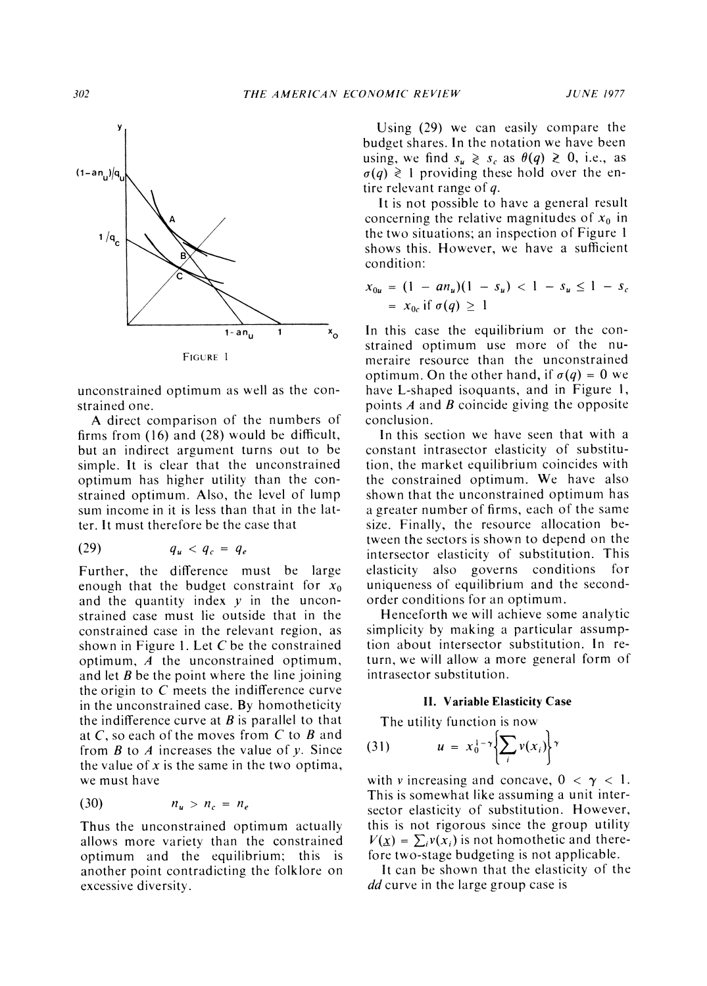

**unconstrained optimum as well as the constrained one.** 

**A direct comparison of the numbers of firms from (16) and (28) would be difficult, but an indirect argument turns out to be simple. It is clear that the unconstrained optimum has higher utility than the constraincd optimum. Also, the level of lump sum income in it is less than that in the latter. It must therefore be the case that** 

$$
(29) \hspace{1cm} q_u < q_c = q_e
$$

**Further, the difference must be large**  enough that the budget constraint for  $x_0$ **and the quantity index y in the unconstrained case must lie outside that in the constrained case in the relevant region, as shown in Figure 1. Let C be the constrained optimum, A the unconstrained optimum, and let B be the point where the line joining the origin to C meets the indifference curve in the unconstrained case. By homotheticity the indifference curve at B is parallel to that at C, so each of the moves from C to B and from B to A increases the value of y. Since the value of x is the same in the two optima, we must have** 

$$
(30) \qquad \qquad n_u > n_c = n_e
$$

**Thus the unconstrained optimum actually allows more variety than the constrained optimum and the equilibrium; this is another point contradicting the folklore on excessive diversity.** 

**Using (29) we can easily compare the budget shares. In the notation we have been using, we find**  $s_u \geq s_c$  **as**  $\theta(q) \geq 0$ **, i.e., as**  $\sigma(q) \geq 1$  providing these hold over the en**tire relevant range of q.** 

**It is not possible to have a general result**  concerning the relative magnitudes of  $x_0$  in **the two situations; an inspection of Figure I shows this. However, we have a sufficient condition:** 

$$
x_{0u} = (1 - a n_u)(1 - s_u) < 1 - s_u \le 1 - s_c
$$
  
=  $x_{0c}$  if  $\sigma(q) \ge 1$ 

**In this case the equilibrium or the constrained optimum use more of the numeraire resource than the unconstrained optimum.** On the other hand, if  $\sigma(q) = 0$  we **have L-shaped isoquants, and in Figure 1, points A and B coincide giving the opposite conclusion.** 

**In this section we have seen that with a constant intrasector elasticity of substitution, the market equilibrium coincides with the constrained optimum. We have also shown that the unconstrained optimum has a greater number of firms, each of the same size. Finally, the resource allocation between the sectors is shown to depend on the intersector elasticity of substitution. This elasticity also governs conditions for uniqueness of equilibrium and the secondorder conditions for an optimum.** 

**Henceforth we will achieve some analytic simplicity by making a particular assumption about intersector substitution. In return, we will allow a more general form of intrasector substitution.** 

### **II. Variable Elasticity Case**

**The utility function is now** 

$$
(31) \hspace{1cm} u = x_0^{1-\gamma} \Biggl\{ \sum_i v(x_i) \Biggr\}^{\gamma}
$$

with v increasing and concave,  $0 < \gamma < 1$ . **This is somewhat like assuming a unit intersector elasticity of substitution. However, this is not rigorous since the group utility**   $V(\underline{x}) = \sum_i v(x_i)$  is not homothetic and there**fore two-stage budgeting is not applicable.** 

**It can be shown that the elasticity of the dd curve in the large group case is**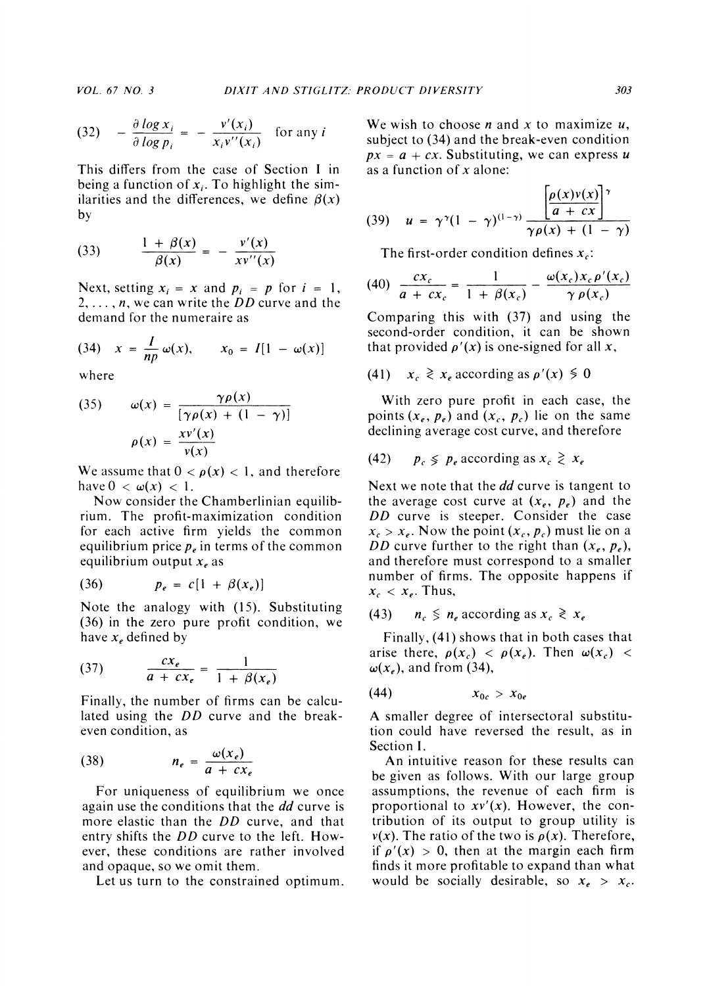$$
(32) \quad -\frac{\partial \log x_i}{\partial \log p_i} = -\frac{v'(x_i)}{x_i v''(x_i)} \quad \text{for any } i
$$

**This differs from the case of Section I in**  being a function of  $x_i$ . To highlight the similarities and the differences, we define  $\beta(x)$ **by** 

(33) 
$$
\frac{1 + \beta(x)}{\beta(x)} = -\frac{v'(x)}{xv''(x)}
$$

Next, setting  $x_i = x$  and  $p_i = p$  for  $i = 1$ , **2, .. ., n, we can write the DD curve and the demand for the numeraire as** 

(34) 
$$
x = \frac{I}{np} \omega(x), \qquad x_0 = I[1 - \omega(x)]
$$

**where** 

(35) 
$$
\omega(x) = \frac{\gamma \rho(x)}{[\gamma \rho(x) + (1 - \gamma)]}
$$

$$
\rho(x) = \frac{x v'(x)}{v(x)}
$$

We assume that  $0 < \rho(x) < 1$ , and therefore have  $0 < \omega(x) < 1$ .

**Now consider the Chamberlinian equilibrium. The profit-maximization condition for each active firm yields the common**  equilibrium price  $p_e$  in terms of the common equilibrium output  $x_e$  as

$$
(36) \hspace{1cm} p_e = c[1 + \beta(x_e)]
$$

**Note the analogy with (15). Substituting (36) in the zero pure profit condition, we**  have  $x_e$  defined by

$$
(37) \qquad \qquad \frac{cx_e}{a + cx_e} = \frac{1}{1 + \beta(x_e)}
$$

**Finally, the number of firms can be calculated using the DD curve and the breakeven condition, as** 

$$
(38) \t n_e = \frac{\omega(x_e)}{a + cx_e}
$$

**For uniqueness of equilibrium we once again use the conditions that the dd curve is more elastic than the DD curve, and that entry shifts the DD curve to the left. However, these conditions are rather involved and opaque, so we omit them.** 

**Let us turn to the constrained optimum.** 

We wish to choose  $n$  and  $x$  to maximize  $u$ , **subject to (34) and the break-even condition**   $px = a + cx$ . Substituting, we can express u **as a function of x alone:** 

$$
(39) \quad u = \gamma^{\gamma} (1 - \gamma)^{(1-\gamma)} \frac{\left| \frac{\rho(x)v(x)}{a + cx} \right|^{\gamma}}{\gamma \rho(x) + (1 - \gamma)}
$$

The first-order condition defines  $x_c$ :

$$
(40) \frac{cx_c}{a+cx_c} = \frac{1}{1+\beta(x_c)} - \frac{\omega(x_c)x_c\rho'(x_c)}{\gamma\rho(x_c)}
$$

**Comparing this with (37) and using the second-order condition, it can be shown**  that provided  $\rho'(x)$  is one-signed for all x,

**(41)**  $x_c \ge x_e$  according as  $\rho'(x) \le 0$ 

**With zero pure profit in each case, the p**oints  $(x_e, p_e)$  and  $(x_c, p_c)$  lie on the same **declining average cost curve, and therefore** 

$$
(42) \qquad p_c \leq p_e \text{ according as } x_c \geq x_e
$$

**Next we note that the dd curve is tangent to**  the average cost curve at  $(x_e, p_e)$  and the **DD curve is steeper. Consider the case**   $x_c > x_e$ . Now the point  $(x_c, p_c)$  must lie on a **DD** curve further to the right than  $(x_e, p_e)$ , **and therefore must correspond to a smaller number of firms. The opposite happens if**   $x_c < x_e$ . Thus,

**(43)**  $n_c \leq n_e$  according as  $x_c \geq x_e$ 

**Finally, (41) shows that in both cases that**  arise there,  $\rho(x_c) < \rho(x_e)$ . Then  $\omega(x_c) <$  $\omega(x_e)$ , and from (34),

$$
(44) \t\t\t x_{0c} > x_{0e}
$$

**A smaller degree of intersectoral substitution could have reversed the result, as in Section I.** 

**An intuitive reason for these results can be given as follows. With our large group assumptions, the revenue of each firm is proportional to xv'(x). However, the contribution of its output to group utility is**   $v(x)$ . The ratio of the two is  $\rho(x)$ . Therefore, if  $\rho'(x) > 0$ , then at the margin each firm **finds it more profitable to expand than what**  would be socially desirable, so  $x_e > x_c$ .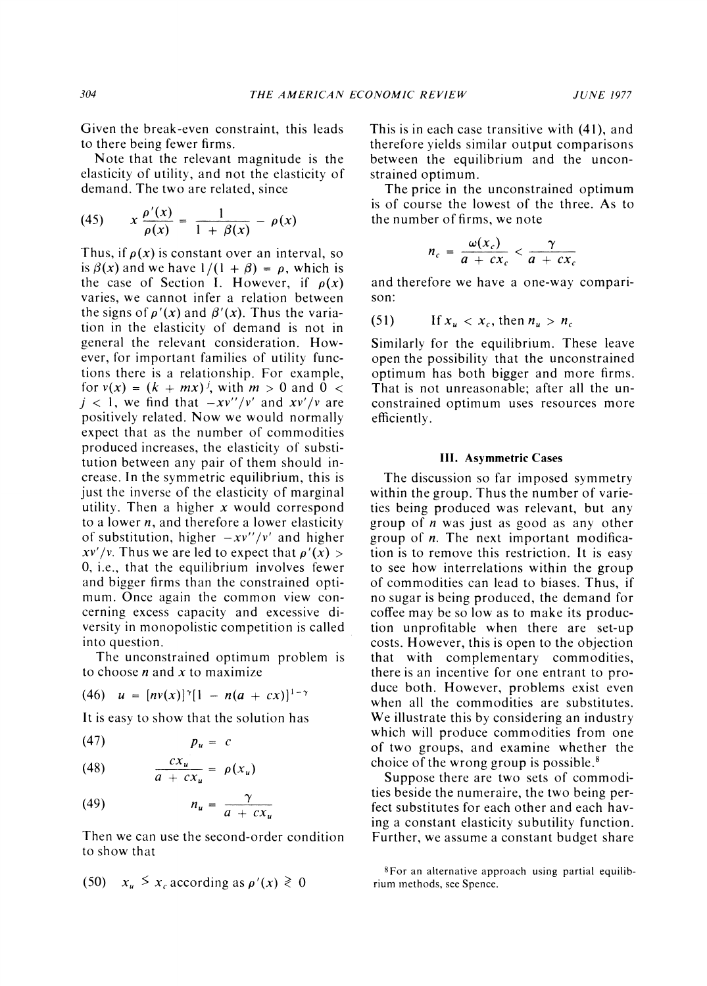**Given the break-even constraint, this leads to there being fewer firms.** 

**Note that the relevant magnitude is the elasticity of utility, and not the elasticity of demand. The two are related, since** 

(45) 
$$
x \frac{\rho'(x)}{\rho(x)} = \frac{1}{1 + \beta(x)} - \rho(x)
$$

Thus, if  $\rho(x)$  is constant over an interval, so is  $\beta(x)$  and we have  $1/(1 + \beta) = \rho$ , which is the case of Section I. However, if  $\rho(x)$ **varies, we cannot infer a relation between**  the signs of  $\rho'(x)$  and  $\beta'(x)$ . Thus the varia**tion in the elasticity of demand is not in general the relevant consideration. However, for important families of utility functions there is a relationship. For example,**  for  $v(x) = (k + mx)^{j}$ , with  $m > 0$  and  $0 <$  $j < 1$ , we find that  $-xv''/v'$  and  $xv'/v$  are **positively related. Now we would normally expect that as the number of commodities produced increases, the elasticity of substitution between any pair of them should increase. In the symmetric equilibrium, this is just the inverse of the elasticity of marginal utility. Then a higher x would correspond to a lower n, and therefore a lower elasticity**  of substitution, higher  $-xv''/v'$  and higher  $xv'/v$ . Thus we are led to expect that  $\rho'(x)$ **0, i.e., that the equilibrium involves fewer and bigger firms than the constrained optimum. Once again the common view concerning excess capacity and excessive diversity in monopolistic competition is called into question.** 

**The unconstrained optimum problem is to choose n and x to maximize** 

$$
(46) \quad u = [nv(x)]^{\gamma}[1 - n(a + cx)]^{1-\gamma}
$$

**It is easy to show that the solution has** 

$$
(47) \t\t p_u = c
$$

$$
(48) \qquad \qquad \frac{cx_u}{a + cx_u} = \rho(x_u)
$$

$$
(49) \hspace{1cm} n_u = \frac{\gamma}{a + cx_u}
$$

**Then we can use the second-order condition to show that** 

(50) 
$$
x_u \leq x_c
$$
 according as  $\rho'(x) \geq 0$ 

**This is in each case transitive with (41), and therefore yields similar output comparisons between the equilibrium and the unconstrained optimum.** 

**The price in the unconstrained optimum is of course the lowest of the three. As to the number of firms, we note** 

$$
n_c = \frac{\omega(x_c)}{a + cx_c} < \frac{\gamma}{a + cx_c}
$$

**and therefore we have a one-way comparison:** 

**(51) Ifxu < xC,thennu > nc** 

**Similarly for the equilibrium. These leave open the possibility that the unconstrained optimum has both bigger and more firms. That is not unreasonable; after all the unconstrained optimum uses resources more efficiently.** 

#### **III. Asymmetric Cases**

**The discussion so far imposed symmetry within the group. Thus the number of varieties being produced was relevant, but any group of n was just as good as any other group of n. The next important modification is to remove this restriction. It is easy to see how interrelations within the group of commodities can lead to biases. Thus, if no sugar is being produced, the demand for coffee may be so low as to make its production unprofitable when there are set-up costs. However, this is open to the objection that with complementary commodities, there is an incentive for one entrant to produce both. However, problems exist even when all the commodities are substitutes. We illustrate this by considering an industry which will produce commodities from one of two groups, and examine whether the choice of the wrong group is possible.8** 

**Suppose there are two sets of commodities beside the numeraire, the two being perfect substitutes for each other and each having a constant elasticity subutility function. Further, we assume a constant budget share** 

**<sup>8</sup>For an alternative approach using partial equilibrium methods, see Spence.**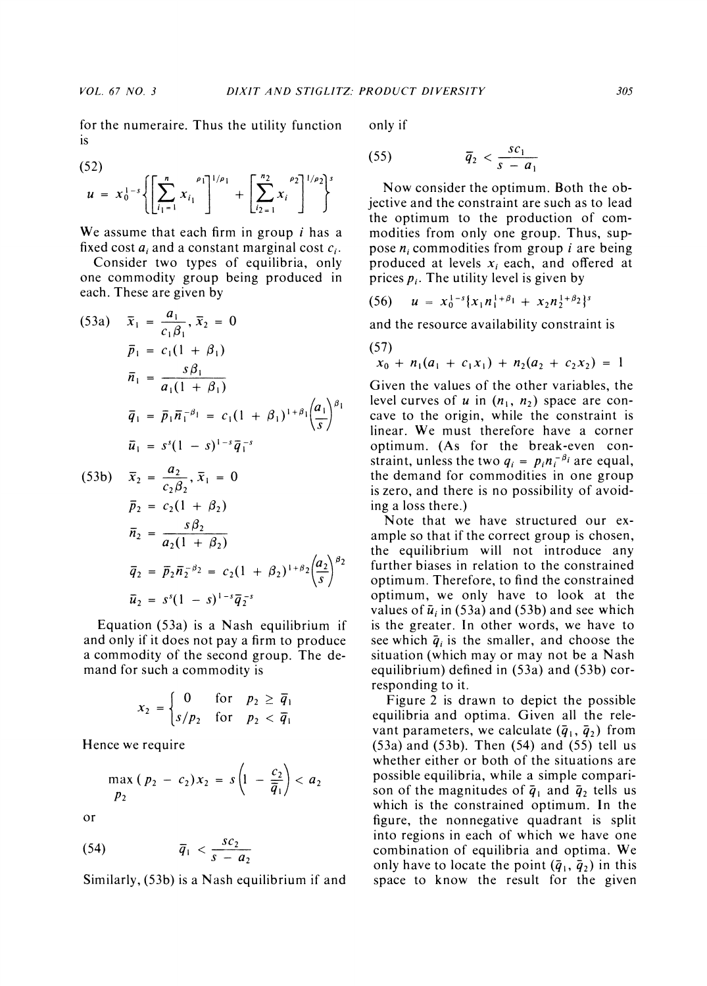**for the numeraire. Thus the utility function is** 

$$
(52)
$$

$$
u = x_0^{1-s} \left\{ \left[ \sum_{i_1=1}^n x_{i_1} \right]^{1/\rho_1} + \left[ \sum_{i_2=1}^{n_2} x_i \right]^{1/\rho_2} \right\}^s
$$

**We assume that each firm in group i has a**  fixed cost  $a_i$  and a constant marginal cost  $c_i$ .

**Consider two types of equilibria, only one commodity group being produced in each. These are given by** 

(53a) 
$$
\bar{x}_1 = \frac{a_1}{c_1 \beta_1}, \bar{x}_2 = 0
$$
  
\n $\bar{p}_1 = c_1(1 + \beta_1)$   
\n $\bar{n}_1 = \frac{s\beta_1}{a_1(1 + \beta_1)}$   
\n $\bar{q}_1 = \bar{p}_1 \bar{n}_1^{-\beta_1} = c_1(1 + \beta_1)^{1+\beta_1} \left(\frac{a_1}{s}\right)^{\beta_1}$   
\n $\bar{u}_1 = s^s(1 - s)^{1-s} \bar{q}_1^{-s}$   
\n(53b)  $\bar{x}_2 = \frac{a_2}{c_2 \beta_2}, \bar{x}_1 = 0$ 

$$
\begin{aligned}\n\bar{p}_2 &= c_2(1 + \beta_2) \\
\bar{n}_2 &= \frac{s\beta_2}{a_2(1 + \beta_2)} \\
\bar{q}_2 &= \bar{p}_2 \bar{n}_2^{-\beta_2} = c_2(1 + \beta_2)^{1+\beta_2} \left(\frac{a_2}{s}\right)^{\beta_2} \\
\bar{u}_2 &= s^s(1 - s)^{1-s} \bar{q}_2^{-s}\n\end{aligned}
$$

**Equation (53a) is a Nash equilibrium if and only if it does not pay a firm to produce a commodity of the second group. The demand for such a commodity is** 

$$
x_2 = \begin{cases} 0 & \text{for } p_2 \ge \overline{q}_1 \\ s/p_2 & \text{for } p_2 < \overline{q}_1 \end{cases}
$$

**Hence we require** 

$$
\max_{p_2} (p_2 - c_2) x_2 = s \left( 1 - \frac{c_2}{\overline{q}_1} \right) < a_2
$$

**or** 

$$
\overline{q}_1 < \frac{s c_2}{s - a_2}
$$

**Similarly, (53b) is a Nash equilibrium if and** 

**only if** 

$$
\overline{q}_2 < \frac{s c_1}{s-a_1}
$$

**Now consider the optimum. Both the objective and the constraint are such as to lead the optimum to the production of commodities from only one group. Thus, suppose ni commodities from group i are being**  produced at levels  $x_i$  each, and offered at prices  $p_i$ . The utility level is given by

$$
(56) \quad u = x_0^{1-s} \{x_1 n_1^{1+\beta_1} + x_2 n_2^{1+\beta_2}\}^s
$$

**and the resource availability constraint is** 

(57)  

$$
x_0 + n_1(a_1 + c_1x_1) + n_2(a_2 + c_2x_2) = 1
$$

**Given the values of the other variables, the**  level curves of  $u$  in  $(n_1, n_2)$  space are con**cave to the origin, while the constraint is linear. We must therefore have a corner optimum. (As for the break-even con**straint, unless the two  $q_i = p_i n_i^{-\beta_i}$  are equal, **the demand for commodities in one group is zero, and there is no possibility of avoiding a loss there.)** 

**Note that we have structured our example so that if the correct group is chosen, the equilibrium will not introduce any further biases in relation to the constrained optimum. Therefore, to find the constrained optimum, we only have to look at the**  values of  $\bar{u}_i$  in (53a) and (53b) and see which **is the greater. In other words, we have to**  see which  $\bar{q}_i$  is the smaller, and choose the **situation (which may or may not be a Nash equilibrium) defined in (53a) and (53b) corresponding to it.** 

**Figure 2 is drawn to depict the possible equilibria and optima. Given all the relevant parameters, we calculate**  $(\bar{q}_1, \bar{q}_2)$  **from (53a) and (53b). Then (54) and (55) tell us whether either or both of the situations are possible equilibria, while a simple compari**son of the magnitudes of  $\bar{q}_1$  and  $\bar{q}_2$  tells us **which is the constrained optimum. In the figure, the nonnegative quadrant is split into regions in each of which we have one combination of equilibria and optima. We**  only have to locate the point  $(\bar{q}_1, \bar{q}_2)$  in this **space to know the result for the given**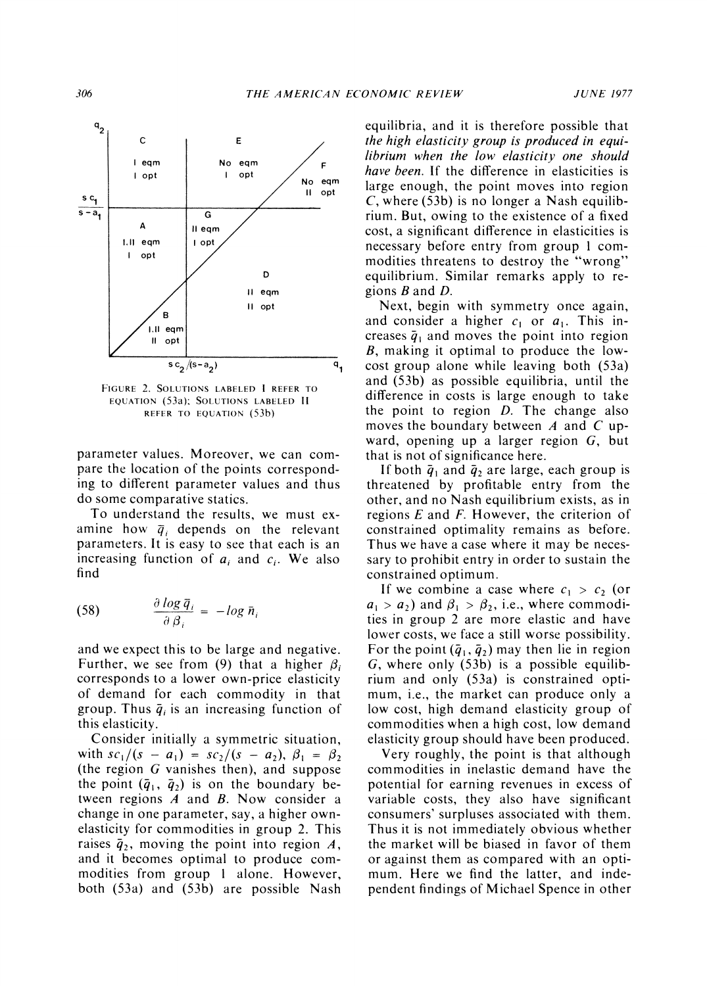

**FIGURE 2. SOLUTIONS LABELED I REFER TO EQUATION (53a); SOLUTIONS LABELED II REFER TO EQUATION (53b)** 

**parameter values. Moreover, we can compare the location of the points corresponding to different parameter values and thus do some comparative statics.** 

**To understand the results, we must ex**amine how  $\bar{q}_i$  depends on the relevant **parameters. It is easy to see that each is an**  increasing function of  $a_i$  and  $c_i$ . We also **find** 

(58) 
$$
\frac{\partial \log \bar{q}_i}{\partial \beta_i} = -\log \bar{n}_i
$$

**and we expect this to be large and negative.**  Further, we see from (9) that a higher  $\beta_i$ **corresponds to a lower own-price elasticity of demand for each commodity in that**  group. Thus  $\bar{q}_i$  is an increasing function of **this elasticity.** 

**Consider initially a symmetric situation,**   $\text{with } s c_1/(s - a_1) = s c_2/(s - a_2), \ \beta_1 = \beta_2$ **(the region G vanishes then), and suppose**  the point  $(\bar{q}_1, \bar{q}_2)$  is on the boundary be**tween regions A and B. Now consider a change in one parameter, say, a higher ownelasticity for commodities in group 2. This**  raises  $\bar{q}_2$ , moving the point into region A, **and it becomes optimal to produce commodities from group 1 alone. However, both (53a) and (53b) are possible Nash**  **equilibria, and it is therefore possible that the high elasticity group is produced in equilibrium when the low elasticity one should have been. If the difference in elasticities is large enough, the point moves into region C, where (53b) is no longer a Nash equilibrium. But, owing to the existence of a fixed cost, a significant difference in elasticities is necessary before entry from group 1 commodities threatens to destroy the "wrong" equilibrium. Similar remarks apply to regions B and D.** 

**Next, begin with symmetry once again,**  and consider a higher  $c_1$  or  $a_1$ . This increases  $\bar{q}_1$  and moves the point into region **B, making it optimal to produce the lowcost group alone while leaving both (53a) and (53b) as possible equilibria, until the difference in costs is large enough to take the point to region D. The change also moves the boundary between A and C upward, opening up a larger region G, but that is not of significance here.** 

If both  $\bar{q}_1$  and  $\bar{q}_2$  are large, each group is **threatened by profitable entry from the other, and no Nash equilibrium exists, as in regions E and F. However, the criterion of constrained optimality remains as before. Thus we have a case where it may be necessary to prohibit entry in order to sustain the constrained optimum.** 

If we combine a case where  $c_1 > c_2$  (or  $a_1 > a_2$ ) and  $\beta_1 > \beta_2$ , i.e., where commodi**ties in group 2 are more elastic and have lower costs, we face a still worse possibility.**  For the point  $(\bar{q}_1, \bar{q}_2)$  may then lie in region **G, where only (53b) is a possible equilibrium and only (53a) is constrained optimum, i.e., the market can produce only a low cost, high demand elasticity group of commodities when a high cost, low demand elasticity group should have been produced.** 

**Very roughly, the point is that although commodities in inelastic demand have the potential for earning revenues in excess of variable costs, they also have significant consumers' surpluses associated with them. Thus it is not immediately obvious whether the market will be biased in favor of them or against them as compared with an optimum. Here we find the latter, and independent findings of Michael Spence in other**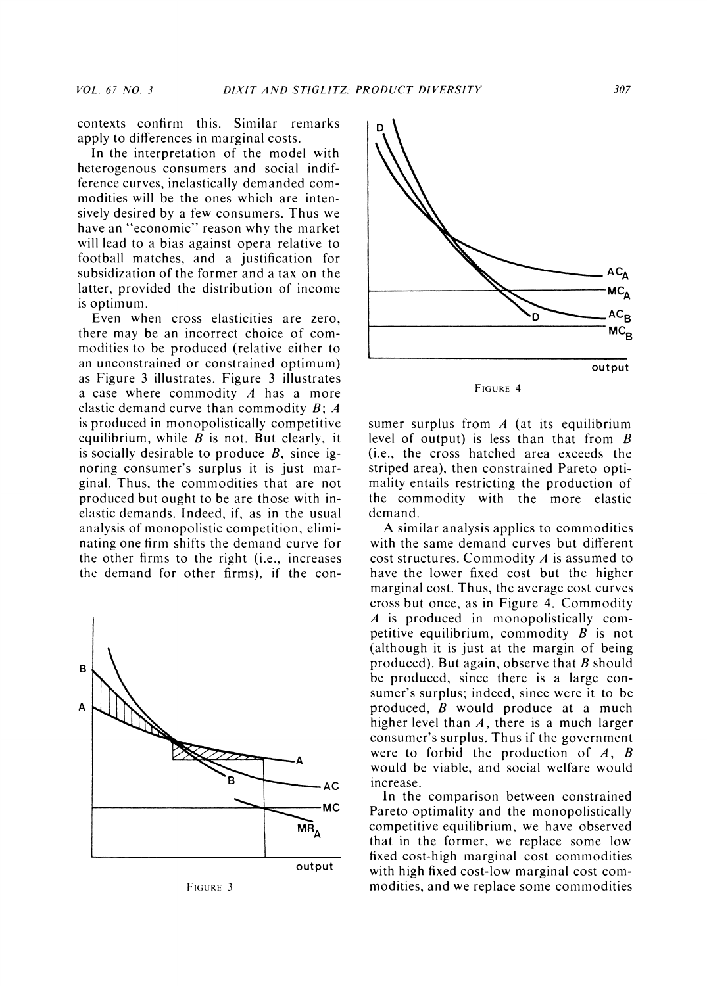**contexts confirm this. Similar remarks apply to differences in marginal costs.** 

**In the interpretation of the model with heterogenous consumers and social indifference curves, inelastically demanded commodities will be the ones which are intensively desired by a few consumers. Thus we have an "economic" reason why the market will lead to a bias against opera relative to football matches, and a justification for subsidization of the former and a tax on the latter, provided the distribution of income is optimum.** 

**Even when cross elasticities are zero, there may be an incorrect choice of commodities to be produced (relative either to an unconstrained or constrained optimum) as Figure 3 illustrates. Figure 3 illustrates a case where commodity A has a more elastic demand curve than commodity B; A is produced in monopolistically competitive equilibrium, while B is not. But clearly, it is socially desirable to produce B, since ignoring consumer's surplus it is just marginal. Thus, the commodities that are not produced but ought to be are those with inelastic demands. Indeed, if, as in the usual analysis of monopolistic competition, eliminating one firm shifts the demand curve for the other firms to the right (i.e., increases the demand for other firms), if the con-**



**FIGURE 3** 



**sumer surplus from A (at its equilibrium level of output) is less than that from B (i.e., the cross hatched area exceeds the striped area), then constrained Pareto optimality entails restricting the production of the commodity with the more elastic demand.** 

**A similar analysis applies to commodities with the same demand curves but different cost structures. Commodity A is assumed to have the lower fixed cost but the higher marginal cost. Thus, the average cost curves cross but once, as in Figure 4. Commodity A is produced in monopolistically competitive equilibrium, commodity B is not (although it is just at the margin of being produced). But again, observe that B should be produced, since there is a large consumer's surplus; indeed, since were it to be produced, B would produce at a much higher level than A, there is a much larger consumer's surplus. Thus if the government were to forbid the production of A, B would be viable, and social welfare would increase.** 

**In the comparison between constrained Pareto optimality and the monopolistically competitive equilibrium, we have observed that in the former, we replace some low fixed cost-high marginal cost commodities with high fixed cost-low marginal cost commodities, and we replace some commodities**